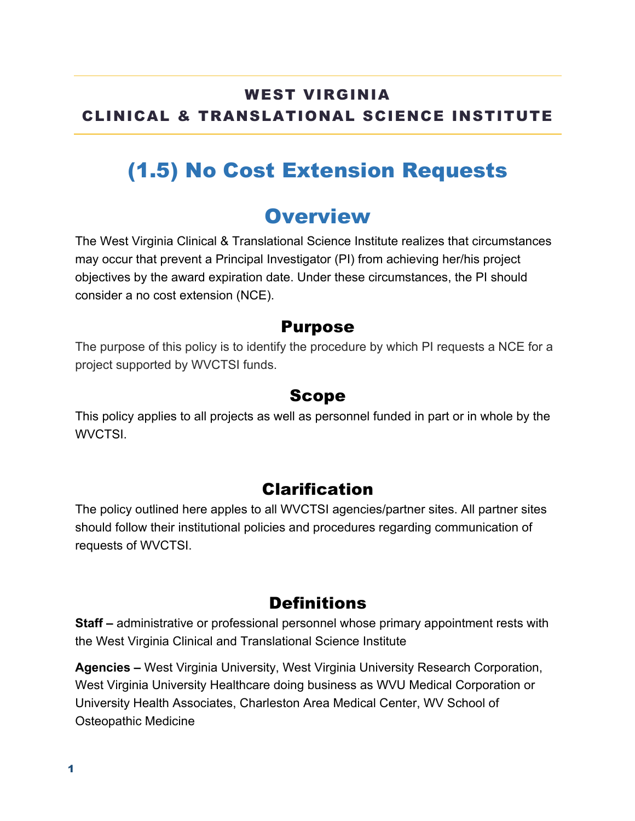#### WEST VIRGINIA CLINICAL & TRANSLATIONAL SCIENCE INSTITUTE

## (1.5) No Cost Extension Requests

## **Overview**

The West Virginia Clinical & Translational Science Institute realizes that circumstances may occur that prevent a Principal Investigator (PI) from achieving her/his project objectives by the award expiration date. Under these circumstances, the PI should consider a no cost extension (NCE).

#### Purpose

The purpose of this policy is to identify the procedure by which PI requests a NCE for a project supported by WVCTSI funds.

#### Scope

This policy applies to all projects as well as personnel funded in part or in whole by the WVCTSI.

#### Clarification

The policy outlined here apples to all WVCTSI agencies/partner sites. All partner sites should follow their institutional policies and procedures regarding communication of requests of WVCTSI.

### **Definitions**

**Staff –** administrative or professional personnel whose primary appointment rests with the West Virginia Clinical and Translational Science Institute

**Agencies –** West Virginia University, West Virginia University Research Corporation, West Virginia University Healthcare doing business as WVU Medical Corporation or University Health Associates, Charleston Area Medical Center, WV School of Osteopathic Medicine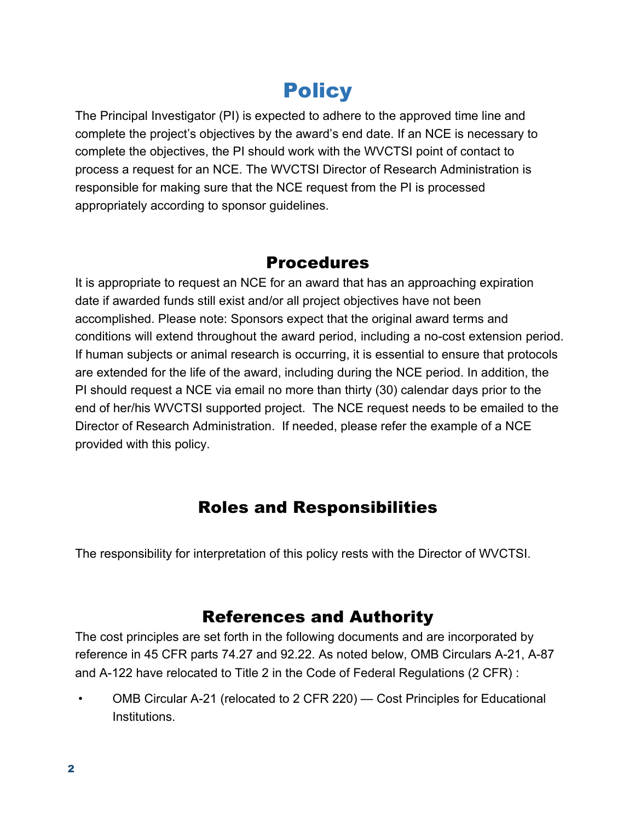# **Policy**

The Principal Investigator (PI) is expected to adhere to the approved time line and complete the project's objectives by the award's end date. If an NCE is necessary to complete the objectives, the PI should work with the WVCTSI point of contact to process a request for an NCE. The WVCTSI Director of Research Administration is responsible for making sure that the NCE request from the PI is processed appropriately according to sponsor guidelines.

#### Procedures

It is appropriate to request an NCE for an award that has an approaching expiration date if awarded funds still exist and/or all project objectives have not been accomplished. Please note: Sponsors expect that the original award terms and conditions will extend throughout the award period, including a no-cost extension period. If human subjects or animal research is occurring, it is essential to ensure that protocols are extended for the life of the award, including during the NCE period. In addition, the PI should request a NCE via email no more than thirty (30) calendar days prior to the end of her/his WVCTSI supported project. The NCE request needs to be emailed to the Director of Research Administration. If needed, please refer the example of a NCE provided with this policy.

### Roles and Responsibilities

The responsibility for interpretation of this policy rests with the Director of WVCTSI.

### References and Authority

The cost principles are set forth in the following documents and are incorporated by reference in 45 CFR parts 74.27 and 92.22. As noted below, OMB Circulars A-21, A-87 and A-122 have relocated to Title 2 in the Code of Federal Regulations (2 CFR) :

• OMB Circular A-21 (relocated to 2 CFR 220) — Cost Principles for Educational Institutions.